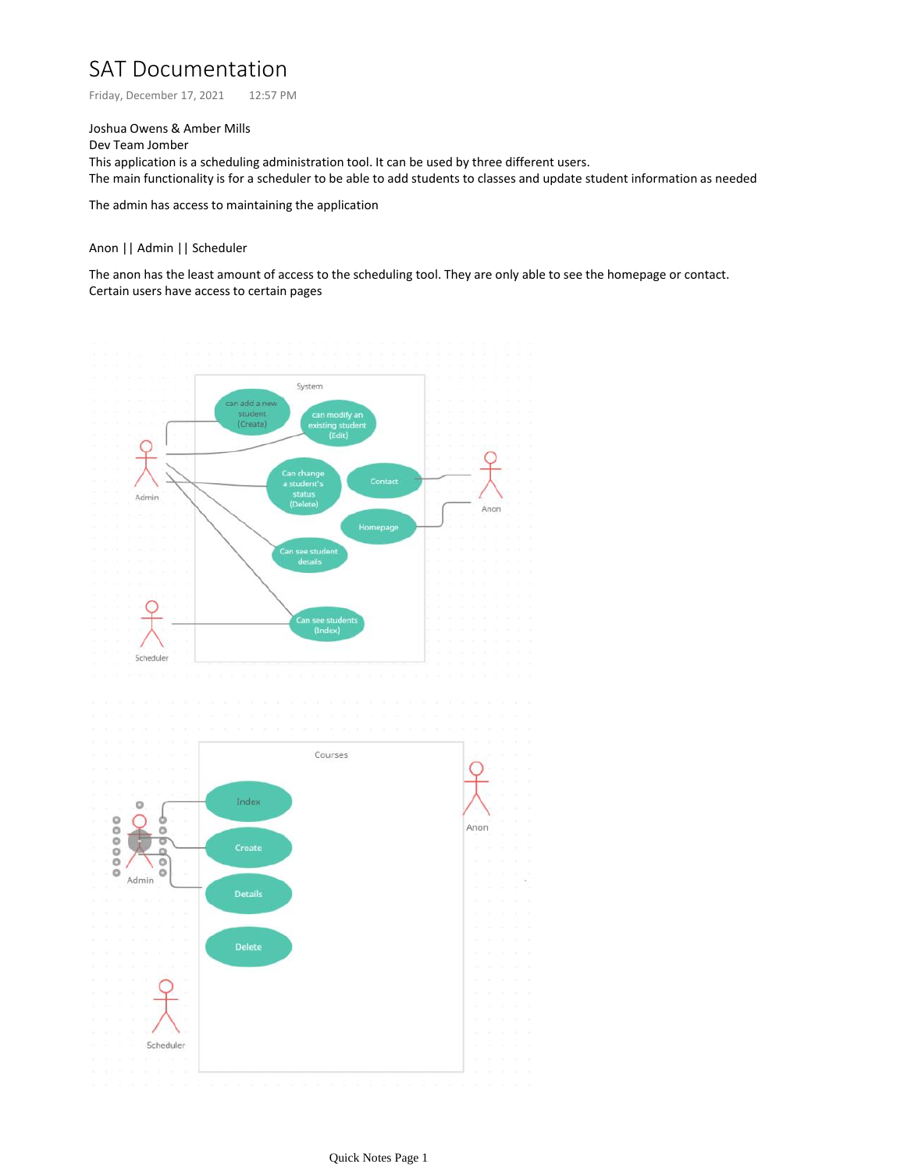# SAT Documentation

Friday, December 17, 2021 12:57 PM

Joshua Owens & Amber Mills

Dev Team Jomber This application is a scheduling administration tool. It can be used by three different users. The main functionality is for a scheduler to be able to add students to classes and update student information as needed

The admin has access to maintaining the application

### Anon || Admin || Scheduler

The anon has the least amount of access to the scheduling tool. They are only able to see the homepage or contact. Certain users have access to certain pages

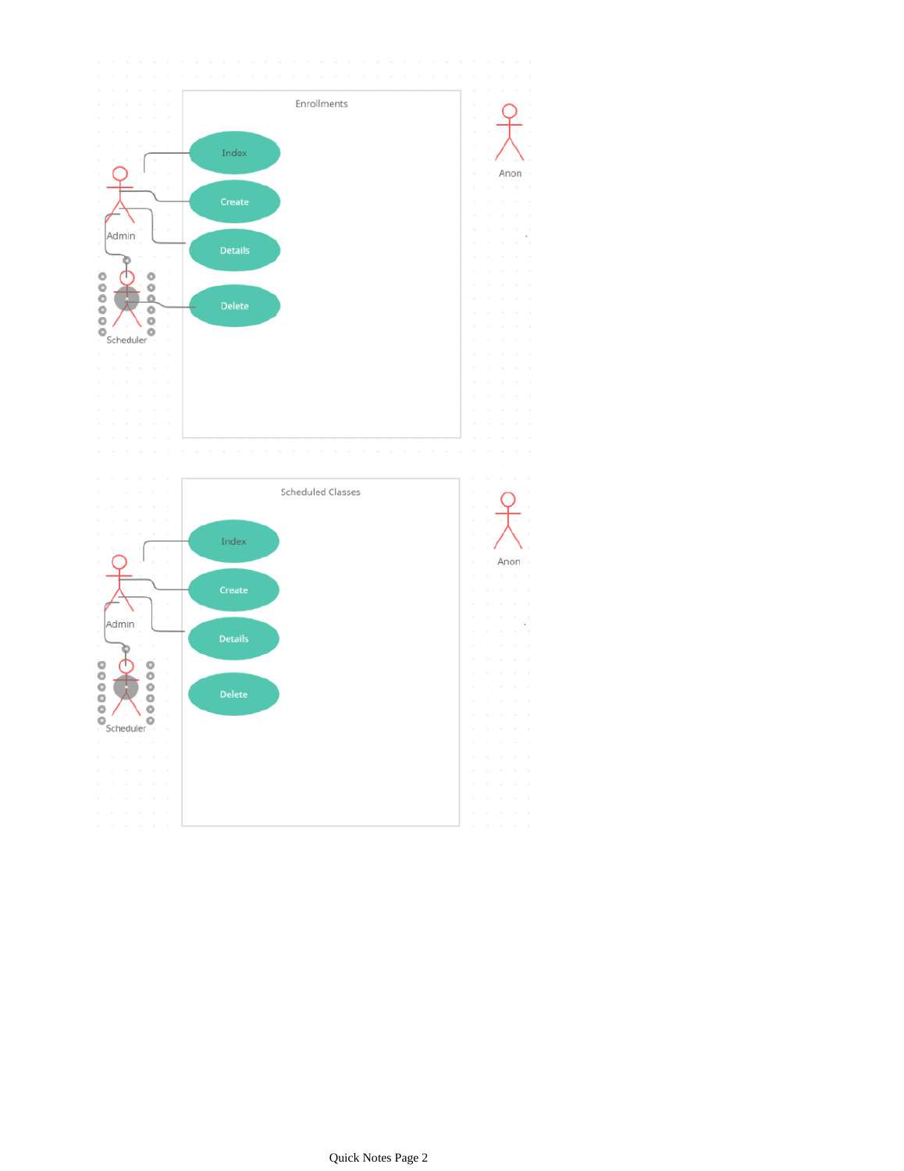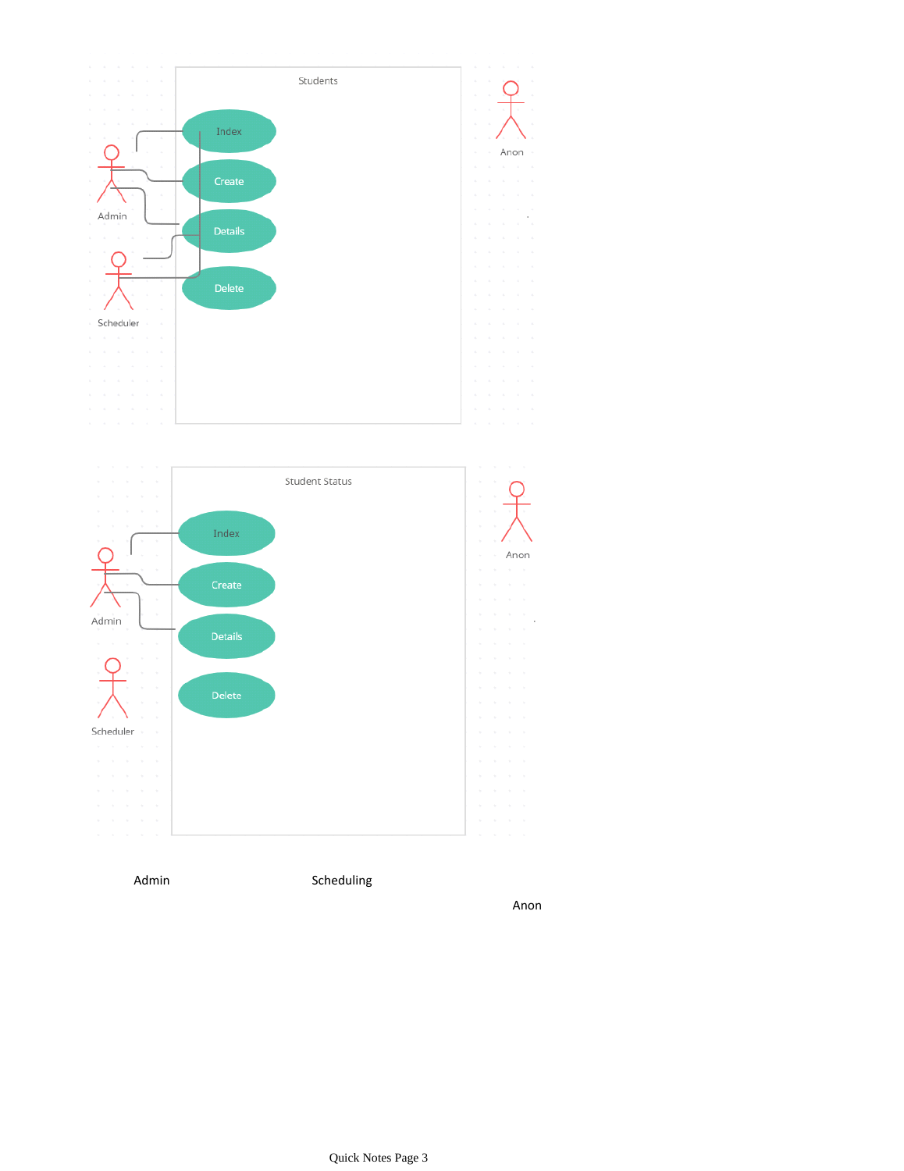



Admin Scheduling

Anon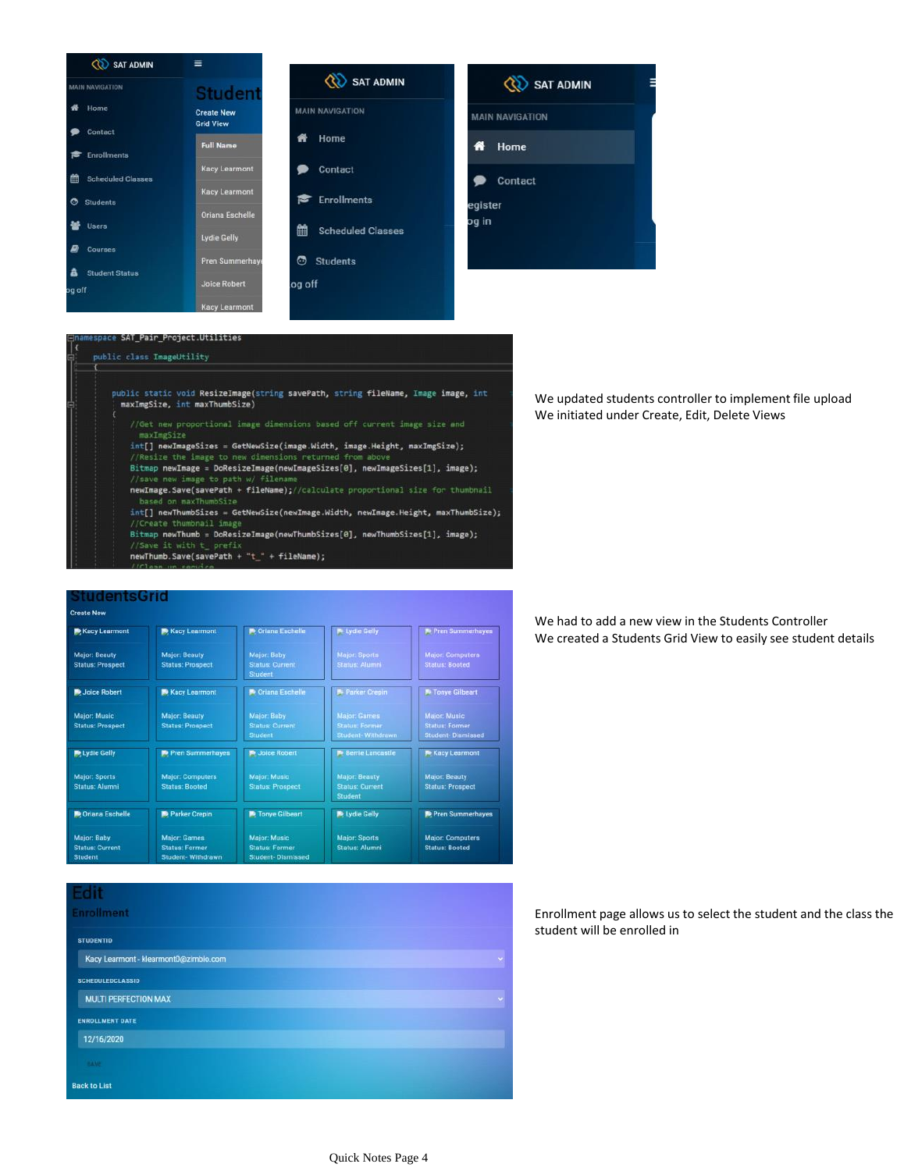| SAT ADMIN                |                        |  |
|--------------------------|------------------------|--|
| <b>MAIN NAVIGATION</b>   | Studen                 |  |
| Home                     | <b>Create New</b>      |  |
| Contact                  | <b>Grid View</b>       |  |
| <b>Enrollments</b>       | <b>Full Name</b>       |  |
| <b>Scheduled Classes</b> | <b>Kacy Learmont</b>   |  |
|                          | <b>Kacy Learmont</b>   |  |
| <b>Students</b><br>O     | Oriana Eschelle        |  |
| Users                    |                        |  |
| <b>Courses</b>           | <b>Lydie Gelly</b>     |  |
|                          | <b>Pren Summerhaye</b> |  |
| <b>Student Status</b>    |                        |  |
| og off                   | <b>Joice Robert</b>    |  |
|                          | <b>Kacy Learmont</b>   |  |



|                  | <b>OD</b> SAT ADMIN    |  |
|------------------|------------------------|--|
|                  | <b>MAIN NAVIGATION</b> |  |
| ñ                | Home                   |  |
| ▩                | Contact                |  |
| egister<br>oa in |                        |  |
|                  |                        |  |

### ace SAT\_Pair\_Project.Utilities public class ImageUtility

# public static void ResizeImage(string savePath, string fileName, Image image, int<br>| maxImgSize, int maxThumbSize) maxImeSize int[] newImageSizes = GetNewSize(image.Width, image.Height, maxImgSize); //Resize the image to new dimensio Bitmap newImage = DoResizeImage(newImageSizes[0], newImageSizes[1], image);

- newImage.Save(savePath + fileName);//calculate proportional size for thumbnail
- int[] newThumbSizes = GetNewSize(newImage.Width, newImage.Height, maxThumbSize); Create thumbnail imag
- Bitmap newThumb = DoResizeImage(newThumbSizes[0], newThumbSizes[1], image);  $newThumb.Save(savePath + "t" + fileName);$
- 

## We updated students controller to implement file upload We initiated under Create, Edit, Delete Views

### We had to add a new view in the Students Controller We created a Students Grid View to easily see student details

| Kacy Learmont                                           | Kacy Learmont                                                      | <b>P</b> Oriana Eschelle                                          | F Lydie Gelly                                                     | <b>N</b> - Pren Summerhayes                                              |
|---------------------------------------------------------|--------------------------------------------------------------------|-------------------------------------------------------------------|-------------------------------------------------------------------|--------------------------------------------------------------------------|
| Major: Beauty<br><b>Status: Prospect</b>                | <b>Major: Beauty</b><br><b>Status: Prospect</b>                    | Major: Baby<br><b>Status: Current</b><br><b>Student</b>           | Major: Sports<br><b>Status: Alumni</b>                            | <b>Major: Computers</b><br><b>Status: Booted</b>                         |
| Joice Robert                                            | <b>Kacy Learmont</b>                                               | <b>Poriana Eschelle</b>                                           | <b>P</b> Parker Crepin                                            | <b>Po Tonye Gilbeart</b>                                                 |
| <b>Major: Music</b><br><b>Status: Prospect</b>          | <b>Major: Beauty</b><br><b>Status: Prospect</b>                    | Major: Baby<br><b>Status: Current</b><br>Student                  | <b>Major: Games</b><br><b>Status: Former</b><br>Student-Withdrawn | <b>Major: Music</b><br><b>Status: Former</b><br><b>Student-Dismissed</b> |
| Lydie Gelly                                             | <b>Re</b> Pren Summerhayes                                         | <b>Be Joice Robert</b>                                            | <b>E</b> Berrie Lancastle                                         | <b>Kacy Learmont</b>                                                     |
| <b>Major: Sports</b><br><b>Status: Alumni</b>           | <b>Major: Computers</b><br><b>Status: Booted</b>                   | Major: Music<br><b>Status: Prospect</b>                           | Major: Beauty<br><b>Status: Current</b><br><b>Student</b>         | <b>Major: Beauty</b><br><b>Status: Prospect</b>                          |
| <b>D</b> Oriana Eschelle                                | Parker Crepin                                                      | Tonye Gilbeart                                                    | Lydie Gelly                                                       | Pren Summerhayes                                                         |
| Major: Baby<br><b>Status: Current</b><br><b>Student</b> | <b>Major: Games</b><br><b>Status: Former</b><br>Student- Withdrawn | Major: Music<br><b>Status: Former</b><br><b>Student-Dismissed</b> | <b>Major: Sports</b><br>Status: Alumni                            | <b>Major: Computers</b><br><b>Status: Booted</b>                         |

Edit Enrollment **STUDENTID** Kacy Learmont - klearmont0@zimblo.com SCHEDULEDCLASSID MULTI PERFECTION MAX ENROLLMENT DATE 12/16/2020 Back to List

Enrollment page allows us to select the student and the class the student will be enrolled in